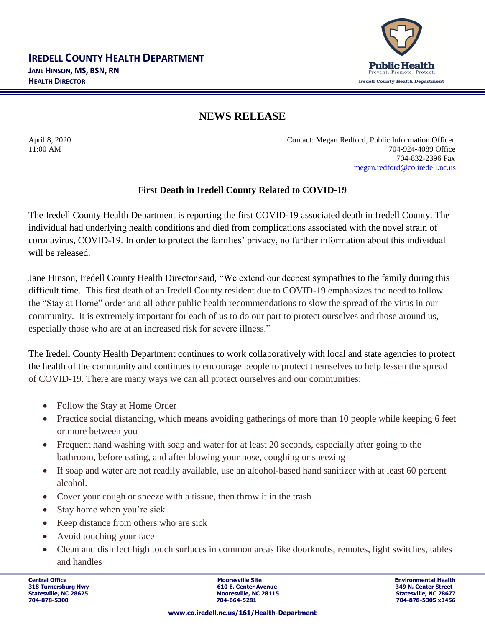

## **NEWS RELEASE**

April 8, 2020 Contact: Megan Redford, Public Information Officer 11:00 AM 704-924-4089 Office 704-832-2396 Fax [megan.redford@co.iredell.nc.us](mailto:megan.redford@co.iredell.nc.us)

## **First Death in Iredell County Related to COVID-19**

The Iredell County Health Department is reporting the first COVID-19 associated death in Iredell County. The individual had underlying health conditions and died from complications associated with the novel strain of coronavirus, COVID-19. In order to protect the families' privacy, no further information about this individual will be released.

Jane Hinson, Iredell County Health Director said, "We extend our deepest sympathies to the family during this difficult time. This first death of an Iredell County resident due to COVID-19 emphasizes the need to follow the "Stay at Home" order and all other public health recommendations to slow the spread of the virus in our community. It is extremely important for each of us to do our part to protect ourselves and those around us, especially those who are at an increased risk for severe illness."

The Iredell County Health Department continues to work collaboratively with local and state agencies to protect the health of the community and continues to encourage people to protect themselves to help lessen the spread of COVID-19. There are many ways we can all protect ourselves and our communities:

- Follow the Stay at Home Order
- Practice social distancing, which means avoiding gatherings of more than 10 people while keeping 6 feet or more between you
- Frequent hand washing with soap and water for at least 20 seconds, especially after going to the bathroom, before eating, and after blowing your nose, coughing or sneezing
- If soap and water are not readily available, use an alcohol-based hand sanitizer with at least 60 percent alcohol.
- Cover your cough or sneeze with a tissue, then throw it in the trash
- Stay home when you're sick
- Keep distance from others who are sick
- Avoid touching your face
- Clean and disinfect high touch surfaces in common areas like doorknobs, remotes, light switches, tables and handles

**Central Office Mooresville Site Environmental Health 318 Turnersburg Hwy 610 E. Center Avenue 349 N. Center Street Statesville, NC 28115**<br> **Statesville, NC 28677**<br> **Statesville, NC 28677**<br> **STATES 28156**<br> **STATES 28456 704-878-5300 704-664-5281 704-878-5305 x3456**